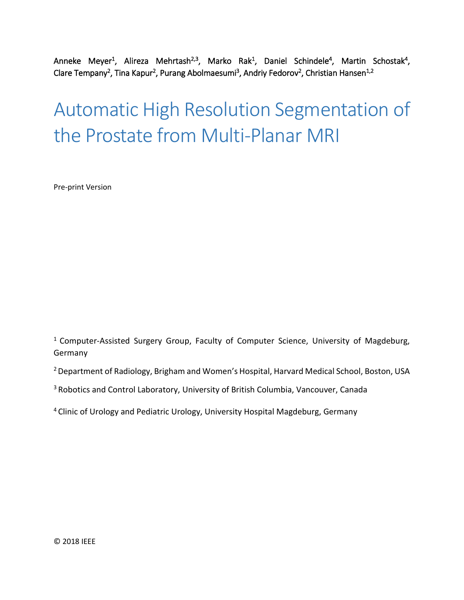Anneke Meyer<sup>1</sup>, Alireza Mehrtash<sup>2,3</sup>, Marko Rak<sup>1</sup>, Daniel Schindele<sup>4</sup>, Martin Schostak<sup>4</sup>, Clare Tempany<sup>2</sup>, Tina Kapur<sup>2</sup>, Purang Abolmaesumi<sup>3</sup>, Andriy Fedorov<sup>2</sup>, Christian Hansen<sup>1,2</sup>

# Automatic High Resolution Segmentation of the Prostate from Multi-Planar MRI

Pre-print Version

<sup>1</sup> Computer-Assisted Surgery Group, Faculty of Computer Science, University of Magdeburg, Germany

<sup>2</sup> Department of Radiology, Brigham and Women's Hospital, Harvard Medical School, Boston, USA

<sup>3</sup> Robotics and Control Laboratory, University of British Columbia, Vancouver, Canada

<sup>4</sup> Clinic of Urology and Pediatric Urology, University Hospital Magdeburg, Germany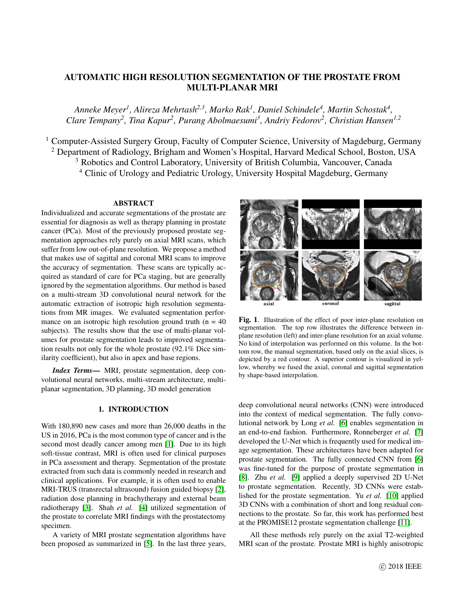# AUTOMATIC HIGH RESOLUTION SEGMENTATION OF THE PROSTATE FROM MULTI-PLANAR MRI

*Anneke Meyer<sup>1</sup> , Alireza Mehrtash2,3, Marko Rak<sup>1</sup> , Daniel Schindele<sup>4</sup> , Martin Schostak<sup>4</sup> , Clare Tempany<sup>2</sup> , Tina Kapur<sup>2</sup> , Purang Abolmaesumi<sup>3</sup> , Andriy Fedorov<sup>2</sup> , Christian Hansen1,2*

<sup>1</sup> Computer-Assisted Surgery Group, Faculty of Computer Science, University of Magdeburg, Germany <sup>2</sup> Department of Radiology, Brigham and Women's Hospital, Harvard Medical School, Boston, USA <sup>3</sup> Robotics and Control Laboratory, University of British Columbia, Vancouver, Canada <sup>4</sup> Clinic of Urology and Pediatric Urology, University Hospital Magdeburg, Germany

#### ABSTRACT

Individualized and accurate segmentations of the prostate are essential for diagnosis as well as therapy planning in prostate cancer (PCa). Most of the previously proposed prostate segmentation approaches rely purely on axial MRI scans, which suffer from low out-of-plane resolution. We propose a method that makes use of sagittal and coronal MRI scans to improve the accuracy of segmentation. These scans are typically acquired as standard of care for PCa staging, but are generally ignored by the segmentation algorithms. Our method is based on a multi-stream 3D convolutional neural network for the automatic extraction of isotropic high resolution segmentations from MR images. We evaluated segmentation performance on an isotropic high resolution ground truth ( $n = 40$ ) subjects). The results show that the use of multi-planar volumes for prostate segmentation leads to improved segmentation results not only for the whole prostate (92.1% Dice similarity coefficient), but also in apex and base regions.

*Index Terms*— MRI, prostate segmentation, deep convolutional neural networks, multi-stream architecture, multiplanar segmentation, 3D planning, 3D model generation

## 1. INTRODUCTION

With 180,890 new cases and more than 26,000 deaths in the US in 2016, PCa is the most common type of cancer and is the second most deadly cancer among men [\[1\]](#page-5-0). Due to its high soft-tissue contrast, MRI is often used for clinical purposes in PCa assessment and therapy. Segmentation of the prostate extracted from such data is commonly needed in research and clinical applications. For example, it is often used to enable MRI-TRUS (transrectal ultrasound) fusion guided biopsy [\[2\]](#page-5-1), radiation dose planning in brachytherapy and external beam radiotherapy [\[3\]](#page-5-2). Shah *et al.* [\[4\]](#page-5-3) utilized segmentation of the prostate to correlate MRI findings with the prostatectomy specimen.

A variety of MRI prostate segmentation algorithms have been proposed as summarized in [\[5\]](#page-5-4). In the last three years,



<span id="page-1-0"></span>Fig. 1. Illustration of the effect of poor inter-plane resolution on segmentation. The top row illustrates the difference between inplane resolution (left) and inter-plane resolution for an axial volume. No kind of interpolation was performed on this volume. In the bottom row, the manual segmentation, based only on the axial slices, is depicted by a red contour. A superior contour is visualized in yellow, whereby we fused the axial, coronal and sagittal segmentation by shape-based interpolation.

deep convolutional neural networks (CNN) were introduced into the context of medical segmentation. The fully convolutional network by Long *et al.* [\[6\]](#page-5-5) enables segmentation in an end-to-end fashion. Furthermore, Ronneberger *et al.* [\[7\]](#page-5-6) developed the U-Net which is frequently used for medical image segmentation. These architectures have been adapted for prostate segmentation. The fully connected CNN from [\[6\]](#page-5-5) was fine-tuned for the purpose of prostate segmentation in [\[8\]](#page-5-7). Zhu *et al.* [\[9\]](#page-5-8) applied a deeply supervised 2D U-Net to prostate segmentation. Recently, 3D CNNs were established for the prostate segmentation. Yu *et al.* [\[10\]](#page-5-9) applied 3D CNNs with a combination of short and long residual connections to the prostate. So far, this work has performed best at the PROMISE12 prostate segmentation challenge [\[11\]](#page-5-10).

All these methods rely purely on the axial T2-weighted MRI scan of the prostate. Prostate MRI is highly anisotropic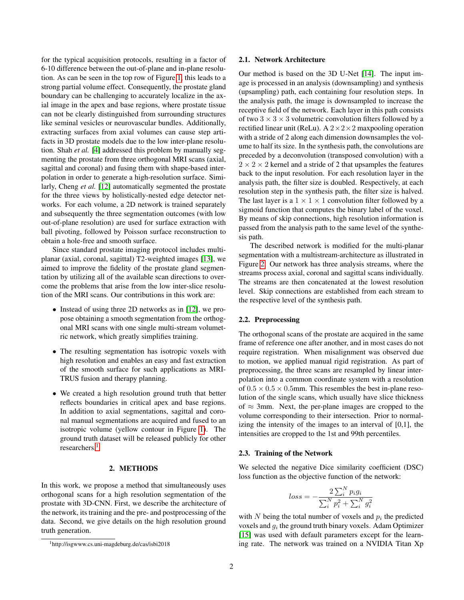for the typical acquisition protocols, resulting in a factor of 6-10 difference between the out-of-plane and in-plane resolution. As can be seen in the top row of Figure [1,](#page-1-0) this leads to a strong partial volume effect. Consequently, the prostate gland boundary can be challenging to accurately localize in the axial image in the apex and base regions, where prostate tissue can not be clearly distinguished from surrounding structures like seminal vesicles or neurovascular bundles. Additionally, extracting surfaces from axial volumes can cause step artifacts in 3D prostate models due to the low inter-plane resolution. Shah *et al.* [\[4\]](#page-5-3) addressed this problem by manually segmenting the prostate from three orthogonal MRI scans (axial, sagittal and coronal) and fusing them with shape-based interpolation in order to generate a high-resolution surface. Similarly, Cheng *et al.* [\[12\]](#page-5-11) automatically segmented the prostate for the three views by holistically-nested edge detector networks. For each volume, a 2D network is trained separately and subsequently the three segmentation outcomes (with low out-of-plane resolution) are used for surface extraction with ball pivoting, followed by Poisson surface reconstruction to obtain a hole-free and smooth surface.

Since standard prostate imaging protocol includes multiplanar (axial, coronal, sagittal) T2-weighted images [\[13\]](#page-5-12), we aimed to improve the fidelity of the prostate gland segmentation by utilizing all of the available scan directions to overcome the problems that arise from the low inter-slice resolution of the MRI scans. Our contributions in this work are:

- Instead of using three 2D networks as in [\[12\]](#page-5-11), we propose obtaining a smooth segmentation from the orthogonal MRI scans with one single multi-stream volumetric network, which greatly simplifies training.
- The resulting segmentation has isotropic voxels with high resolution and enables an easy and fast extraction of the smooth surface for such applications as MRI-TRUS fusion and therapy planning.
- We created a high resolution ground truth that better reflects boundaries in critical apex and base regions. In addition to axial segmentations, sagittal and coronal manual segmentations are acquired and fused to an isotropic volume (yellow contour in Figure [1\)](#page-1-0). The ground truth dataset will be released publicly for other researchers.<sup>[1](#page-2-0)</sup>

#### 2. METHODS

In this work, we propose a method that simultaneously uses orthogonal scans for a high resolution segmentation of the prostate with 3D-CNN. First, we describe the architecture of the network, its training and the pre- and postprocessing of the data. Second, we give details on the high resolution ground truth generation.

Our method is based on the 3D U-Net [\[14\]](#page-5-13). The input image is processed in an analysis (downsampling) and synthesis (upsampling) path, each containing four resolution steps. In the analysis path, the image is downsampled to increase the receptive field of the network. Each layer in this path consists of two  $3 \times 3 \times 3$  volumetric convolution filters followed by a rectified linear unit (ReLu). A  $2 \times 2 \times 2$  maxpooling operation with a stride of 2 along each dimension downsamples the volume to half its size. In the synthesis path, the convolutions are preceded by a deconvolution (transposed convolution) with a  $2 \times 2 \times 2$  kernel and a stride of 2 that upsamples the features back to the input resolution. For each resolution layer in the analysis path, the filter size is doubled. Respectively, at each resolution step in the synthesis path, the filter size is halved. The last layer is a  $1 \times 1 \times 1$  convolution filter followed by a sigmoid function that computes the binary label of the voxel. By means of skip connections, high resolution information is passed from the analysis path to the same level of the synthesis path.

The described network is modified for the multi-planar segmentation with a multistream-architecture as illustrated in Figure [2.](#page-3-0) Our network has three analysis streams, where the streams process axial, coronal and sagittal scans individually. The streams are then concatenated at the lowest resolution level. Skip connections are established from each stream to the respective level of the synthesis path.

#### 2.2. Preprocessing

The orthogonal scans of the prostate are acquired in the same frame of reference one after another, and in most cases do not require registration. When misalignment was observed due to motion, we applied manual rigid registration. As part of preprocessing, the three scans are resampled by linear interpolation into a common coordinate system with a resolution of  $0.5 \times 0.5 \times 0.5$ mm. This resembles the best in-plane resolution of the single scans, which usually have slice thickness of  $\approx$  3mm. Next, the per-plane images are cropped to the volume corresponding to their intersection. Prior to normalizing the intensity of the images to an interval of [0,1], the intensities are cropped to the 1st and 99th percentiles.

#### 2.3. Training of the Network

We selected the negative Dice similarity coefficient (DSC) loss function as the objective function of the network:

$$
loss = -\frac{2\sum_{i}^{N} p_i g_i}{\sum_{i}^{N} p_i^2 + \sum_{i}^{N} g_i^2}
$$

with N being the total number of voxels and  $p_i$  the predicted voxels and  $g_i$  the ground truth binary voxels. Adam Optimizer [\[15\]](#page-5-14) was used with default parameters except for the learning rate. The network was trained on a NVIDIA Titan Xp

<span id="page-2-0"></span><sup>1</sup>http://isgwww.cs.uni-magdeburg.de/cas/isbi2018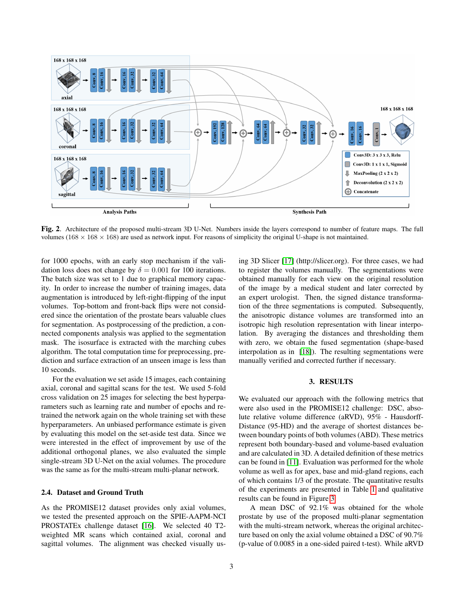

<span id="page-3-0"></span>Fig. 2. Architecture of the proposed multi-stream 3D U-Net. Numbers inside the layers correspond to number of feature maps. The full volumes ( $168 \times 168 \times 168$ ) are used as network input. For reasons of simplicity the original U-shape is not maintained.

for 1000 epochs, with an early stop mechanism if the validation loss does not change by  $\delta = 0.001$  for 100 iterations. The batch size was set to 1 due to graphical memory capacity. In order to increase the number of training images, data augmentation is introduced by left-right-flipping of the input volumes. Top-bottom and front-back flips were not considered since the orientation of the prostate bears valuable clues for segmentation. As postprocessing of the prediction, a connected components analysis was applied to the segmentation mask. The isosurface is extracted with the marching cubes algorithm. The total computation time for preprocessing, prediction and surface extraction of an unseen image is less than 10 seconds.

For the evaluation we set aside 15 images, each containing axial, coronal and sagittal scans for the test. We used 5-fold cross validation on 25 images for selecting the best hyperparameters such as learning rate and number of epochs and retrained the network again on the whole training set with these hyperparameters. An unbiased performance estimate is given by evaluating this model on the set-aside test data. Since we were interested in the effect of improvement by use of the additional orthogonal planes, we also evaluated the simple single-stream 3D U-Net on the axial volumes. The procedure was the same as for the multi-stream multi-planar network.

#### 2.4. Dataset and Ground Truth

As the PROMISE12 dataset provides only axial volumes, we tested the presented approach on the SPIE-AAPM-NCI PROSTATEx challenge dataset [\[16\]](#page-5-15). We selected 40 T2 weighted MR scans which contained axial, coronal and sagittal volumes. The alignment was checked visually using 3D Slicer [\[17\]](#page-5-16) (http://slicer.org). For three cases, we had to register the volumes manually. The segmentations were obtained manually for each view on the original resolution of the image by a medical student and later corrected by an expert urologist. Then, the signed distance transformation of the three segmentations is computed. Subsequently, the anisotropic distance volumes are transformed into an isotropic high resolution representation with linear interpolation. By averaging the distances and thresholding them with zero, we obtain the fused segmentation (shape-based interpolation as in [\[18\]](#page-5-17)). The resulting segmentations were manually verified and corrected further if necessary.

#### 3. RESULTS

We evaluated our approach with the following metrics that were also used in the PROMISE12 challenge: DSC, absolute relative volume difference (aRVD), 95% - Hausdorff-Distance (95-HD) and the average of shortest distances between boundary points of both volumes (ABD). These metrics represent both boundary-based and volume-based evaluation and are calculated in 3D. A detailed definition of these metrics can be found in [\[11\]](#page-5-10). Evaluation was performed for the whole volume as well as for apex, base and mid-gland regions, each of which contains 1/3 of the prostate. The quantitative results of the experiments are presented in Table [1](#page-4-0) and qualitative results can be found in Figure [3.](#page-4-1)

A mean DSC of 92.1% was obtained for the whole prostate by use of the proposed multi-planar segmentation with the multi-stream network, whereas the original architecture based on only the axial volume obtained a DSC of 90.7% (p-value of 0.0085 in a one-sided paired t-test). While aRVD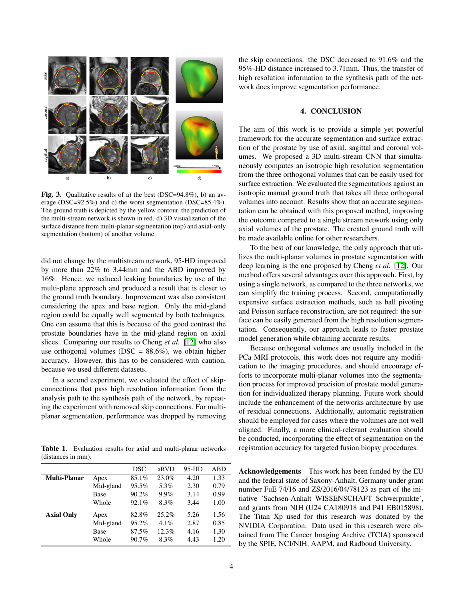

Fig. 3. Qualitative results of a) the best (DSC=94.8%), b) an average (DSC=92.5%) and c) the worst segmentation (DSC=85.4%). The ground truth is depicted by the yellow contour, the prediction of the multi-stream network is shown in red. d) 3D visualization of the surface distance from multi-planar segmentation (top) and axial-only segmentation (bottom) of another volume.

<span id="page-4-1"></span>did not change by the multistream network, 95-HD improved by more than 22% to 3.44mm and the ABD improved by 16%. Hence, we reduced leaking boundaries by use of the multi-plane approach and produced a result that is closer to the ground truth boundary. Improvement was also consistent considering the apex and base region. Only the mid-gland region could be equally well segmented by both techniques. One can assume that this is because of the good contrast the prostate boundaries have in the mid-gland region on axial slices. Comparing our results to Cheng *et al.* [\[12\]](#page-5-11) who also use orthogonal volumes ( $DSC = 88.6\%$ ), we obtain higher accuracy. However, this has to be considered with caution, because we used different datasets.

In a second experiment, we evaluated the effect of skipconnections that pass high resolution information from the analysis path to the synthesis path of the network, by repeating the experiment with removed skip connections. For multiplanar segmentation, performance was dropped by removing

<span id="page-4-0"></span>Table 1. Evaluation results for axial and multi-planar networks (distances in mm).

|                   |           | DSC   | aRVD    | 95-HD | ABD  |
|-------------------|-----------|-------|---------|-------|------|
| Multi-Planar      | Apex      | 85.1% | 23.0%   | 4.20  | 1.33 |
|                   | Mid-gland | 95.5% | 5.3%    | 2.30  | 0.79 |
|                   | Base      | 90.2% | $9.9\%$ | 3.14  | 0.99 |
|                   | Whole     | 92.1% | 8.3%    | 3.44  | 1.00 |
| <b>Axial Only</b> | Apex      | 82.8% | 25.2%   | 5.26  | 1.56 |
|                   | Mid-gland | 95.2% | $4.1\%$ | 2.87  | 0.85 |
|                   | Base      | 87.5% | 12.3%   | 4.16  | 1.30 |
|                   | Whole     | 90.7% | 8.3%    | 4.43  | 1.20 |

the skip connections: the DSC decreased to 91.6% and the 95%-HD distance increased to 3.71mm. Thus, the transfer of high resolution information to the synthesis path of the network does improve segmentation performance.

### 4. CONCLUSION

The aim of this work is to provide a simple yet powerful framework for the accurate segmentation and surface extraction of the prostate by use of axial, sagittal and coronal volumes. We proposed a 3D multi-stream CNN that simultaneously computes an isotropic high resolution segmentation from the three orthogonal volumes that can be easily used for surface extraction. We evaluated the segmentations against an isotropic manual ground truth that takes all three orthogonal volumes into account. Results show that an accurate segmentation can be obtained with this proposed method, improving the outcome compared to a single stream network using only axial volumes of the prostate. The created ground truth will be made available online for other researchers.

To the best of our knowledge, the only approach that utilizes the multi-planar volumes in prostate segmentation with deep learning is the one proposed by Cheng *et al.* [\[12\]](#page-5-11). Our method offers several advantages over this approach. First, by using a single network, as compared to the three networks, we can simplify the training process. Second, computationally expensive surface extraction methods, such as ball pivoting and Poisson surface reconstruction, are not required: the surface can be easily generated from the high resolution segmentation. Consequently, our approach leads to faster prostate model generation while obtaining accurate results.

Because orthogonal volumes are usually included in the PCa MRI protocols, this work does not require any modification to the imaging procedures, and should encourage efforts to incorporate multi-planar volumes into the segmentation process for improved precision of prostate model generation for individualized therapy planning. Future work should include the enhancement of the networks architecture by use of residual connections. Additionally, automatic registration should be employed for cases where the volumes are not well aligned. Finally, a more clinical-relevant evaluation should be conducted, incorporating the effect of segmentation on the registration accuracy for targeted fusion biopsy procedures.

Acknowledgements This work has been funded by the EU and the federal state of Saxony-Anhalt, Germany under grant number FuE 74/16 and ZS/2016/04/78123 as part of the initiative 'Sachsen-Anhalt WISSENSCHAFT Schwerpunkte', and grants from NIH (U24 CA180918 and P41 EB015898). The Titan Xp used for this research was donated by the NVIDIA Corporation. Data used in this research were obtained from The Cancer Imaging Archive (TCIA) sponsored by the SPIE, NCI/NIH, AAPM, and Radboud University.